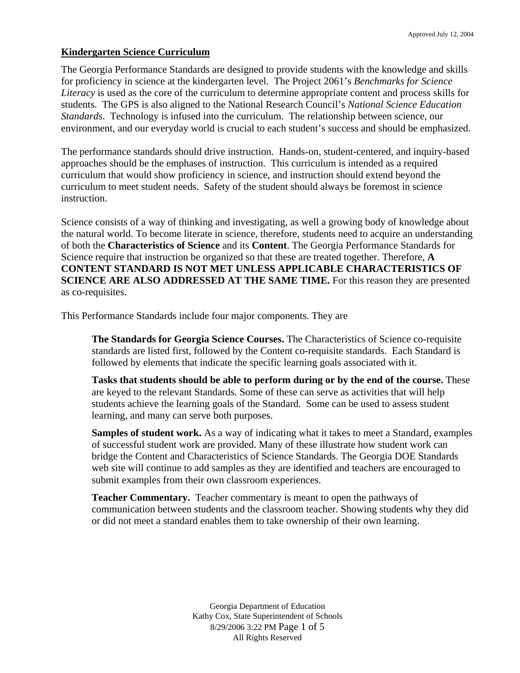#### **Kindergarten Science Curriculum**

The Georgia Performance Standards are designed to provide students with the knowledge and skills for proficiency in science at the kindergarten level. The Project 2061's *Benchmarks for Science Literacy* is used as the core of the curriculum to determine appropriate content and process skills for students. The GPS is also aligned to the National Research Council's *National Science Education Standards*. Technology is infused into the curriculum. The relationship between science, our environment, and our everyday world is crucial to each student's success and should be emphasized.

The performance standards should drive instruction. Hands-on, student-centered, and inquiry-based approaches should be the emphases of instruction. This curriculum is intended as a required curriculum that would show proficiency in science, and instruction should extend beyond the curriculum to meet student needs. Safety of the student should always be foremost in science instruction.

Science consists of a way of thinking and investigating, as well a growing body of knowledge about the natural world. To become literate in science, therefore, students need to acquire an understanding of both the **Characteristics of Science** and its **Content**. The Georgia Performance Standards for Science require that instruction be organized so that these are treated together. Therefore, **A CONTENT STANDARD IS NOT MET UNLESS APPLICABLE CHARACTERISTICS OF SCIENCE ARE ALSO ADDRESSED AT THE SAME TIME.** For this reason they are presented as co-requisites.

This Performance Standards include four major components. They are

**The Standards for Georgia Science Courses.** The Characteristics of Science co-requisite standards are listed first, followed by the Content co-requisite standards. Each Standard is followed by elements that indicate the specific learning goals associated with it.

**Tasks that students should be able to perform during or by the end of the course.** These are keyed to the relevant Standards. Some of these can serve as activities that will help students achieve the learning goals of the Standard. Some can be used to assess student learning, and many can serve both purposes.

**Samples of student work.** As a way of indicating what it takes to meet a Standard, examples of successful student work are provided. Many of these illustrate how student work can bridge the Content and Characteristics of Science Standards. The Georgia DOE Standards web site will continue to add samples as they are identified and teachers are encouraged to submit examples from their own classroom experiences.

**Teacher Commentary.** Teacher commentary is meant to open the pathways of communication between students and the classroom teacher. Showing students why they did or did not meet a standard enables them to take ownership of their own learning.

> Georgia Department of Education Kathy Cox, State Superintendent of Schools 8/29/2006 3:22 PM Page 1 of 5 All Rights Reserved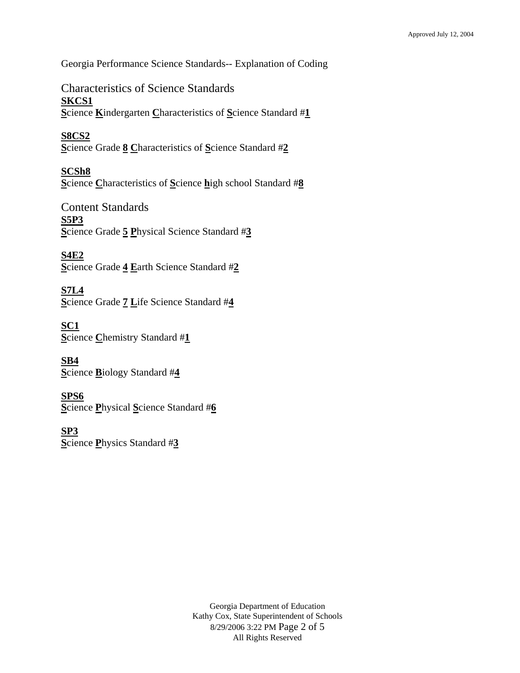Georgia Performance Science Standards-- Explanation of Coding

Characteristics of Science Standards **SKCS1 S**cience **K**indergarten **C**haracteristics of **S**cience Standard #**1**

**S8CS2 S**cience Grade **8 C**haracteristics of **S**cience Standard #**2**

**SCSh8 S**cience **C**haracteristics of **S**cience **h**igh school Standard #**8**

Content Standards **S5P3 S**cience Grade **5 P**hysical Science Standard #**3**

**S4E2 S**cience Grade **4 E**arth Science Standard #**2**

**S7L4 S**cience Grade **7 L**ife Science Standard #**4**

**SC1 S**cience **C**hemistry Standard #**1**

**SB4 S**cience **B**iology Standard #**4**

**SPS6 S**cience **P**hysical **S**cience Standard #**6**

**SP3 S**cience **P**hysics Standard #**3**

> Georgia Department of Education Kathy Cox, State Superintendent of Schools 8/29/2006 3:22 PM Page 2 of 5 All Rights Reserved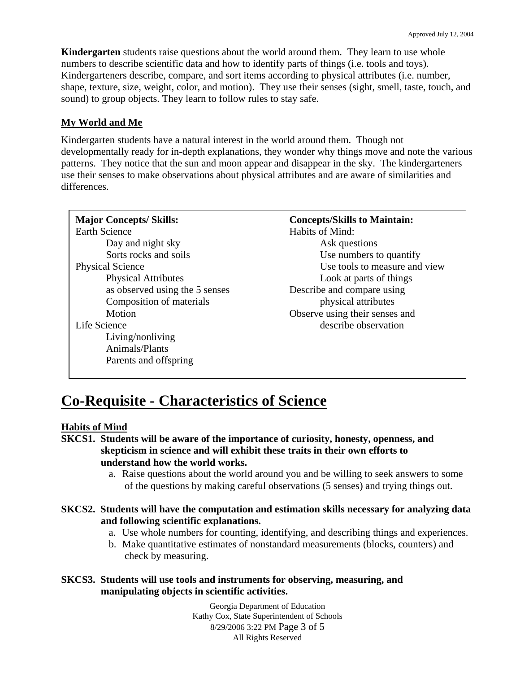**Kindergarten** students raise questions about the world around them. They learn to use whole numbers to describe scientific data and how to identify parts of things (i.e. tools and toys). Kindergarteners describe, compare, and sort items according to physical attributes (i.e. number, shape, texture, size, weight, color, and motion). They use their senses (sight, smell, taste, touch, and sound) to group objects. They learn to follow rules to stay safe.

## **My World and Me**

Kindergarten students have a natural interest in the world around them. Though not developmentally ready for in-depth explanations, they wonder why things move and note the various patterns. They notice that the sun and moon appear and disappear in the sky. The kindergarteners use their senses to make observations about physical attributes and are aware of similarities and differences.

| <b>Major Concepts/Skills:</b>  | <b>Concepts/Skills to Maintain:</b> |
|--------------------------------|-------------------------------------|
| <b>Earth Science</b>           | Habits of Mind:                     |
| Day and night sky              | Ask questions                       |
| Sorts rocks and soils          | Use numbers to quantify             |
| <b>Physical Science</b>        | Use tools to measure and view       |
| <b>Physical Attributes</b>     | Look at parts of things             |
| as observed using the 5 senses | Describe and compare using          |
| Composition of materials       | physical attributes                 |
| Motion                         | Observe using their senses and      |
| Life Science                   | describe observation                |
| Living/nonliving               |                                     |
| Animals/Plants                 |                                     |
| Parents and offspring          |                                     |

## **Co-Requisite - Characteristics of Science**

#### **Habits of Mind**

- **SKCS1. Students will be aware of the importance of curiosity, honesty, openness, and skepticism in science and will exhibit these traits in their own efforts to understand how the world works.** 
	- a. Raise questions about the world around you and be willing to seek answers to some of the questions by making careful observations (5 senses) and trying things out.
- **SKCS2. Students will have the computation and estimation skills necessary for analyzing data and following scientific explanations.** 
	- a. Use whole numbers for counting, identifying, and describing things and experiences.
	- b. Make quantitative estimates of nonstandard measurements (blocks, counters) and check by measuring.
- **SKCS3. Students will use tools and instruments for observing, measuring, and manipulating objects in scientific activities.**

Georgia Department of Education Kathy Cox, State Superintendent of Schools 8/29/2006 3:22 PM Page 3 of 5 All Rights Reserved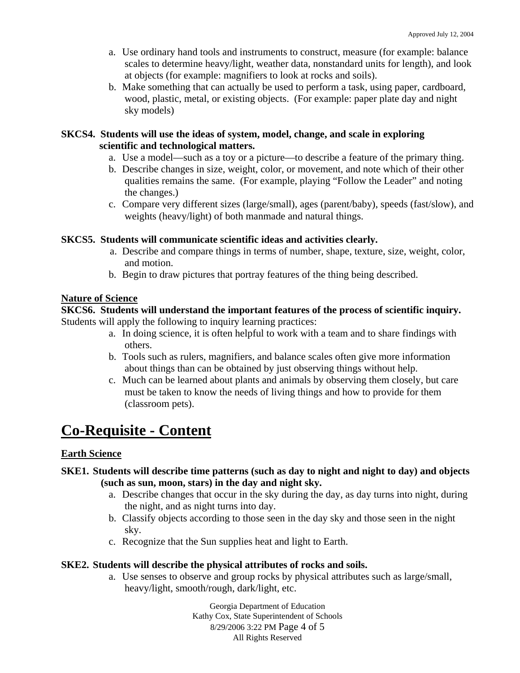- a. Use ordinary hand tools and instruments to construct, measure (for example: balance scales to determine heavy/light, weather data, nonstandard units for length), and look at objects (for example: magnifiers to look at rocks and soils).
- b. Make something that can actually be used to perform a task, using paper, cardboard, wood, plastic, metal, or existing objects. (For example: paper plate day and night sky models)

#### **SKCS4. Students will use the ideas of system, model, change, and scale in exploring scientific and technological matters.**

- a. Use a model—such as a toy or a picture—to describe a feature of the primary thing.
- b. Describe changes in size, weight, color, or movement, and note which of their other qualities remains the same. (For example, playing "Follow the Leader" and noting the changes.)
- c. Compare very different sizes (large/small), ages (parent/baby), speeds (fast/slow), and weights (heavy/light) of both manmade and natural things.

## **SKCS5. Students will communicate scientific ideas and activities clearly.**

- a. Describe and compare things in terms of number, shape, texture, size, weight, color, and motion.
- b. Begin to draw pictures that portray features of the thing being described.

## **Nature of Science**

#### **SKCS6. Students will understand the important features of the process of scientific inquiry.**  Students will apply the following to inquiry learning practices:

- a. In doing science, it is often helpful to work with a team and to share findings with others.
- b. Tools such as rulers, magnifiers, and balance scales often give more information about things than can be obtained by just observing things without help.
- c. Much can be learned about plants and animals by observing them closely, but care must be taken to know the needs of living things and how to provide for them (classroom pets).

# **Co-Requisite - Content**

## **Earth Science**

## **SKE1. Students will describe time patterns (such as day to night and night to day) and objects (such as sun, moon, stars) in the day and night sky.**

- a. Describe changes that occur in the sky during the day, as day turns into night, during the night, and as night turns into day.
- b. Classify objects according to those seen in the day sky and those seen in the night sky.
- c. Recognize that the Sun supplies heat and light to Earth.

## **SKE2. Students will describe the physical attributes of rocks and soils.**

a. Use senses to observe and group rocks by physical attributes such as large/small, heavy/light, smooth/rough, dark/light, etc.

> Georgia Department of Education Kathy Cox, State Superintendent of Schools 8/29/2006 3:22 PM Page 4 of 5 All Rights Reserved